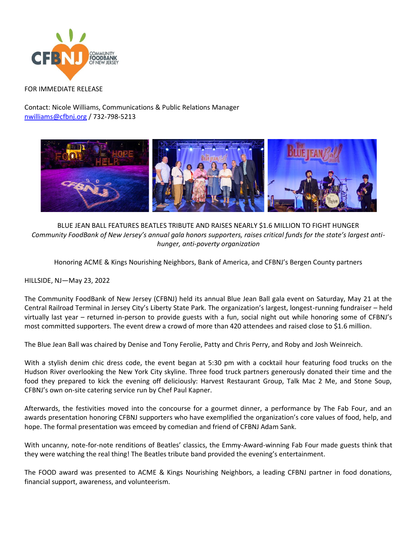

## FOR IMMEDIATE RELEASE

Contact: Nicole Williams, Communications & Public Relations Manager [nwilliams@cfbnj.org](mailto:nwilliams@cfbnj.org) / 732-798-5213



BLUE JEAN BALL FEATURES BEATLES TRIBUTE AND RAISES NEARLY \$1.6 MILLION TO FIGHT HUNGER *Community FoodBank of New Jersey's annual gala honors supporters, raises critical funds for the state's largest antihunger, anti-poverty organization* 

Honoring ACME & Kings Nourishing Neighbors, Bank of America, and CFBNJ's Bergen County partners

HILLSIDE, NJ—May 23, 2022

The Community FoodBank of New Jersey (CFBNJ) held its annual Blue Jean Ball gala event on Saturday, May 21 at the Central Railroad Terminal in Jersey City's Liberty State Park. The organization's largest, longest-running fundraiser – held virtually last year – returned in-person to provide guests with a fun, social night out while honoring some of CFBNJ's most committed supporters. The event drew a crowd of more than 420 attendees and raised close to \$1.6 million.

The Blue Jean Ball was chaired by Denise and Tony Ferolie, Patty and Chris Perry, and Roby and Josh Weinreich.

With a stylish denim chic dress code, the event began at 5:30 pm with a cocktail hour featuring food trucks on the Hudson River overlooking the New York City skyline. Three food truck partners generously donated their time and the food they prepared to kick the evening off deliciously: Harvest Restaurant Group, Talk Mac 2 Me, and Stone Soup, CFBNJ's own on-site catering service run by Chef Paul Kapner.

Afterwards, the festivities moved into the concourse for a gourmet dinner, a performance by The Fab Four, and an awards presentation honoring CFBNJ supporters who have exemplified the organization's core values of food, help, and hope. The formal presentation was emceed by comedian and friend of CFBNJ Adam Sank.

With uncanny, note-for-note renditions of Beatles' classics, the Emmy-Award-winning Fab Four made guests think that they were watching the real thing! The Beatles tribute band provided the evening's entertainment.

The FOOD award was presented to ACME & Kings Nourishing Neighbors, a leading CFBNJ partner in food donations, financial support, awareness, and volunteerism.